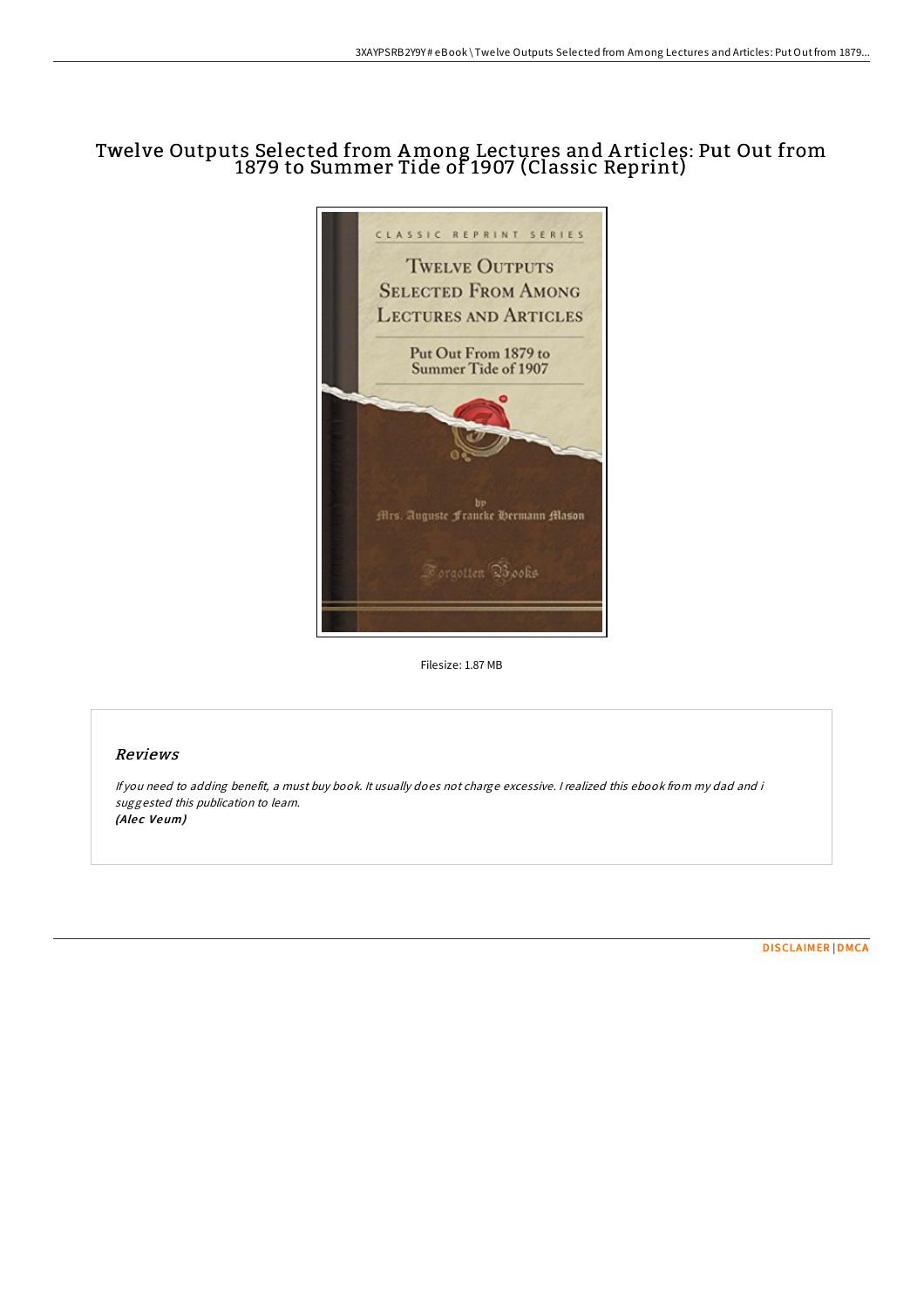# Twelve Outputs Selected from Among Lectures and A rticles: Put Out from 1879 to Summer Tide of 1907 (Classic Reprint)



Filesize: 1.87 MB

## Reviews

If you need to adding benefit, <sup>a</sup> must buy book. It usually does not charge excessive. <sup>I</sup> realized this ebook from my dad and i suggested this publication to learn. (Alec Veum)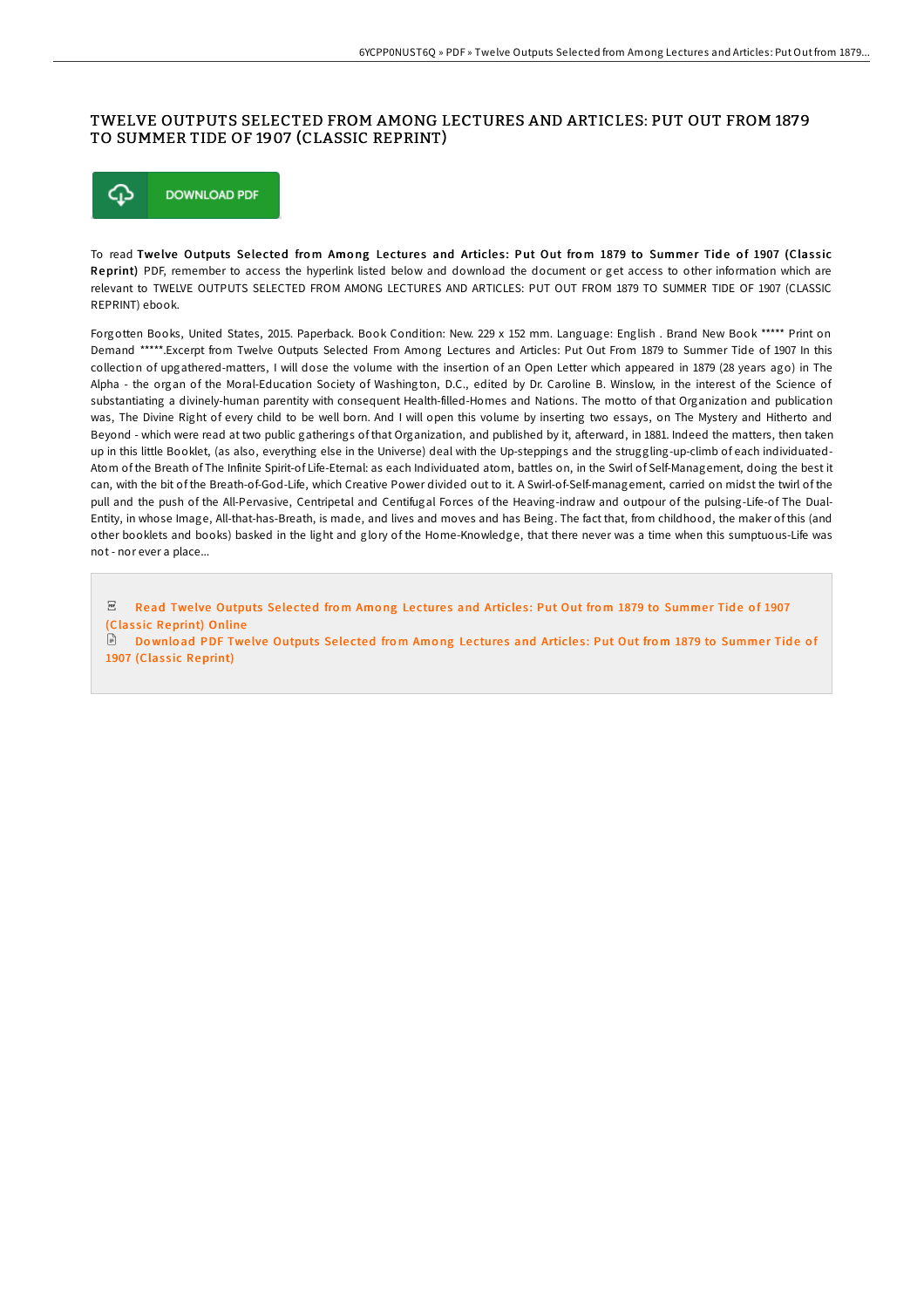## TWELVE OUTPUTS SELECTED FROM AMONG LECTURES AND ARTICLES: PUT OUT FROM 1879 TO SUMMER TIDE OF 1907 (CLASSIC REPRINT)



To read Twelve Outputs Selected from Among Lectures and Articles: Put Out from 1879 to Summer Tide of 1907 (Classic Reprint) PDF, remember to access the hyperlink listed below and download the document or get access to other information which are relevant to TWELVE OUTPUTS SELECTED FROM AMONG LECTURES AND ARTICLES: PUT OUT FROM 1879 TO SUMMER TIDE OF 1907 (CLASSIC REPRINT) ebook.

Forgotten Books, United States, 2015. Paperback. Book Condition: New. 229 x 152 mm. Language: English . Brand New Book \*\*\*\*\* Print on Demand \*\*\*\*\*.Excerpt from Twelve Outputs Selected From Among Lectures and Articles: Put Out From 1879 to Summer Tide of 1907 In this collection of upgathered-matters, I will dose the volume with the insertion of an Open Letter which appeared in 1879 (28 years ago) in The Alpha - the organ of the Moral-Education Society of Washington, D.C., edited by Dr. Caroline B. Winslow, in the interest of the Science of substantiating a divinely-human parentity with consequent Health-filled-Homes and Nations. The motto of that Organization and publication was, The Divine Right of every child to be well born. And I will open this volume by inserting two essays, on The Mystery and Hitherto and Beyond - which were read at two public gatherings of that Organization, and published by it, aFerward, in 1881. Indeed the matters, then taken up in this little Booklet, (as also, everything else in the Universe) deal with the Up-steppings and the struggling-up-climb of each individuated-Atom of the Breath of The Infinite Spirit-of Life-Eternal: as each Individuated atom, battles on, in the Swirl of Self-Management, doing the best it can, with the bit of the Breath-of-God-Life, which Creative Power divided out to it. A Swirl-of-Self-management, carried on midst the twirl of the pull and the push of the All-Pervasive, Centripetal and Centifugal Forces of the Heaving-indraw and outpour of the pulsing-Life-of The Dual-Entity, in whose Image, All-that-has-Breath, is made, and lives and moves and has Being. The fact that, from childhood, the maker of this (and other booklets and books) basked in the light and glory of the Home-Knowledge, that there never was a time when this sumptuous-Life was not - nor ever a place...

 $_{\rm PDF}$ Read Twelve [Outputs](http://almighty24.tech/twelve-outputs-selected-from-among-lectures-and-.html) Selected from Among Lectures and Articles: Put Out from 1879 to Summer Tide of 1907 (Classic Reprint) Online

Do wnload PDF Twelve Outputs Selected from Among Lectures and Articles: Put Out from 1879 to Summer Tide of 1907 (Classic [Reprint\)](http://almighty24.tech/twelve-outputs-selected-from-among-lectures-and-.html)